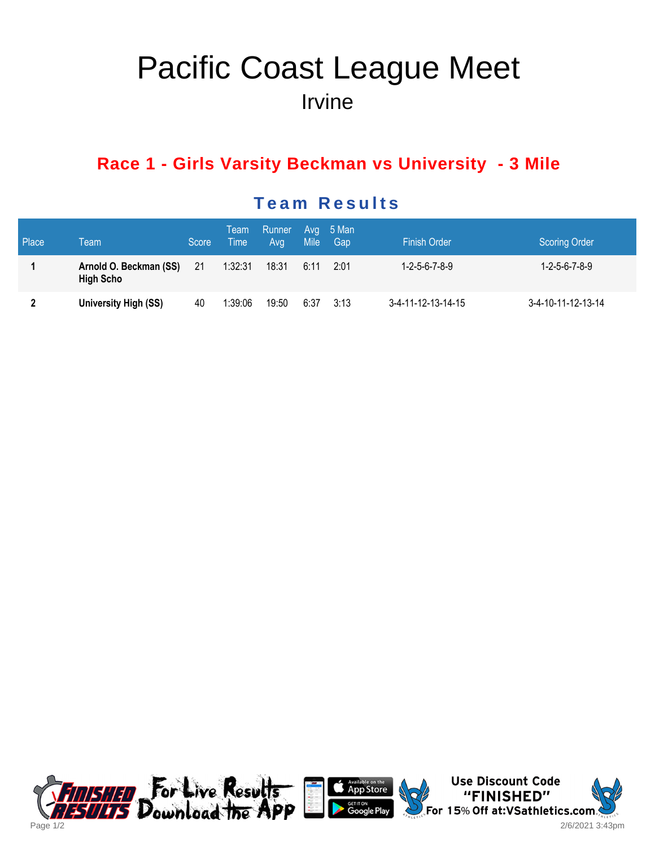# Pacific Coast League Meet Irvine

# **Race 1 - Girls Varsity Beckman vs University - 3 Mile**

| Place | Team                                       | Score | Team<br>∖ Time ! | Runner Avg 5 Man<br>Avg | Mile <sup>1</sup> | Gap  | <b>Finish Order</b>         | <b>Scoring Order</b>        |
|-------|--------------------------------------------|-------|------------------|-------------------------|-------------------|------|-----------------------------|-----------------------------|
|       | Arnold O. Beckman (SS)<br><b>High Scho</b> | -21   | 1:32:31          | 18:31                   | 6:11              | 2:01 | $1 - 2 - 5 - 6 - 7 - 8 - 9$ | $1 - 2 - 5 - 6 - 7 - 8 - 9$ |
| 2     | University High (SS)                       | 40    | 1:39:06          | 19:50                   | 6:37              | 3:13 | 3-4-11-12-13-14-15          | 3-4-10-11-12-13-14          |

### **Team Results**